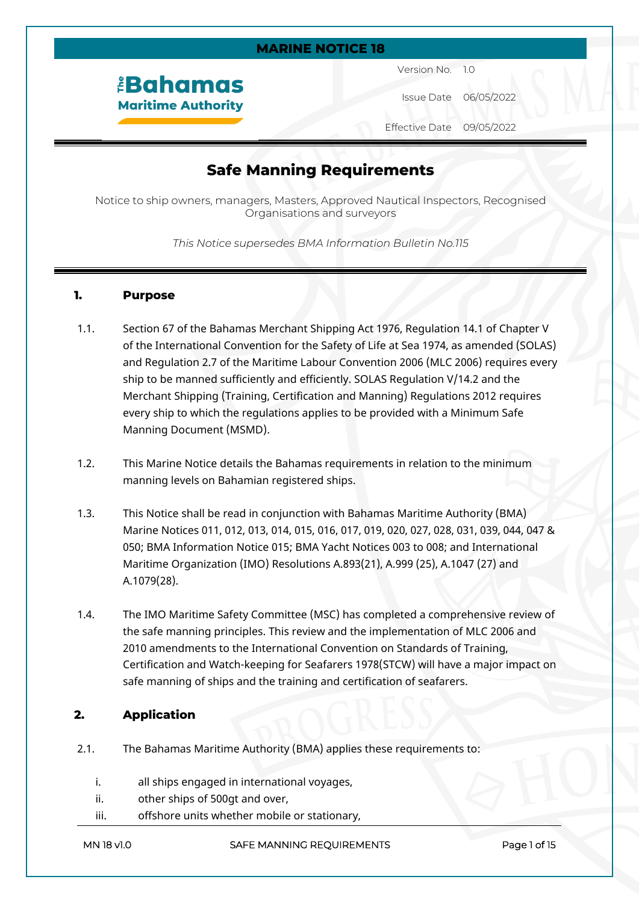#### **MARINE NOTICE 18**

# *<u><b>EBahamas</u>* **Maritime Authority**

Version No. 1.0

Issue Date 06/05/2022

Effective Date 09/05/2022

# **Safe Manning Requirements**

Notice to ship owners, managers, Masters, Approved Nautical Inspectors, Recognised Organisations and surveyors

#### *This Notice supersedes BMA Information Bulletin No.115*

#### **1. Purpose**

- 1.1. Section 67 of the Bahamas Merchant Shipping Act 1976, Regulation 14.1 of Chapter V of the International Convention for the Safety of Life at Sea 1974, as amended (SOLAS) and Regulation 2.7 of the Maritime Labour Convention 2006 (MLC 2006) requires every ship to be manned sufficiently and efficiently. SOLAS Regulation V/14.2 and the Merchant Shipping (Training, Certification and Manning) Regulations 2012 requires every ship to which the regulations applies to be provided with a Minimum Safe Manning Document (MSMD).
- 1.2. This Marine Notice details the Bahamas requirements in relation to the minimum manning levels on Bahamian registered ships.
- 1.3. This Notice shall be read in conjunction with Bahamas Maritime Authority (BMA) Marine Notices 011, 012, 013, 014, 015, 016, 017, 019, 020, 027, 028, 031, 039, 044, 047 & 050; BMA Information Notice 015; BMA Yacht Notices 003 to 008; and International Maritime Organization (IMO) Resolutions A.893(21), A.999 (25), A.1047 (27) and A.1079(28).
- 1.4. The IMO Maritime Safety Committee (MSC) has completed a comprehensive review of the safe manning principles. This review and the implementation of MLC 2006 and 2010 amendments to the International Convention on Standards of Training, Certification and Watch-keeping for Seafarers 1978(STCW) will have a major impact on safe manning of ships and the training and certification of seafarers.

## **2. Application**

- 2.1. The Bahamas Maritime Authority (BMA) applies these requirements to:
	- i. all ships engaged in international voyages,
	- ii. other ships of 500gt and over,
	- iii. offshore units whether mobile or stationary,

#### **MN 18 v1.0** SAFE MANNING REQUIREMENTS Page 1 of 15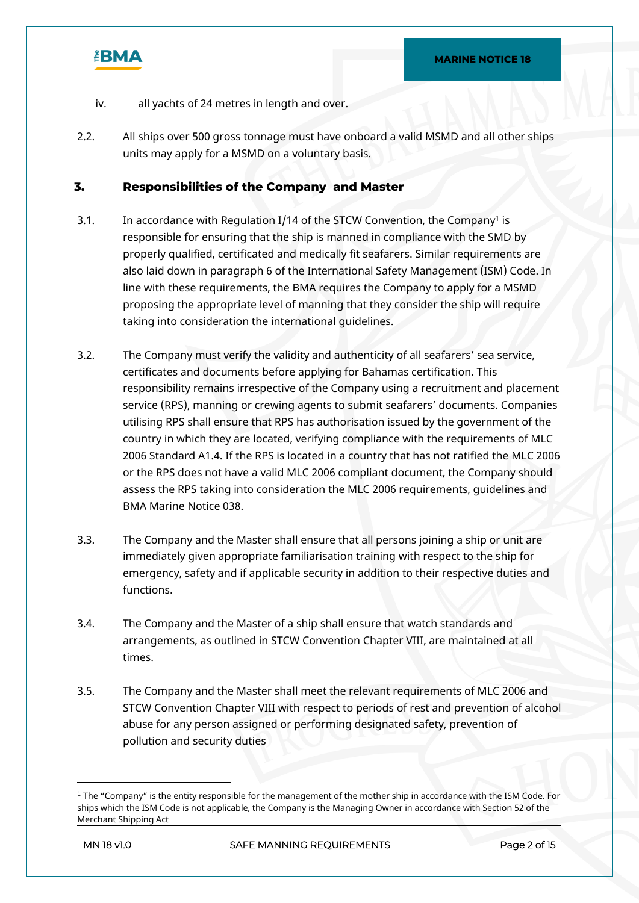

- iv. all yachts of 24 metres in length and over.
- 2.2. All ships over 500 gross tonnage must have onboard a valid MSMD and all other ships units may apply for a MSMD on a voluntary basis.

#### **3. Responsibilities of the Company and Master**

- 3.1. In accordance with Regulation I/14 of the STCW Convention, the Company<sup>1</sup> is responsible for ensuring that the ship is manned in compliance with the SMD by properly qualified, certificated and medically fit seafarers. Similar requirements are also laid down in paragraph 6 of the International Safety Management (ISM) Code. In line with these requirements, the BMA requires the Company to apply for a MSMD proposing the appropriate level of manning that they consider the ship will require taking into consideration the international guidelines.
- 3.2. The Company must verify the validity and authenticity of all seafarers' sea service, certificates and documents before applying for Bahamas certification. This responsibility remains irrespective of the Company using a recruitment and placement service (RPS), manning or crewing agents to submit seafarers' documents. Companies utilising RPS shall ensure that RPS has authorisation issued by the government of the country in which they are located, verifying compliance with the requirements of MLC 2006 Standard A1.4. If the RPS is located in a country that has not ratified the MLC 2006 or the RPS does not have a valid MLC 2006 compliant document, the Company should assess the RPS taking into consideration the MLC 2006 requirements, guidelines and BMA Marine Notice 038.
- 3.3. The Company and the Master shall ensure that all persons joining a ship or unit are immediately given appropriate familiarisation training with respect to the ship for emergency, safety and if applicable security in addition to their respective duties and functions.
- 3.4. The Company and the Master of a ship shall ensure that watch standards and arrangements, as outlined in STCW Convention Chapter VIII, are maintained at all times.
- 3.5. The Company and the Master shall meet the relevant requirements of MLC 2006 and STCW Convention Chapter VIII with respect to periods of rest and prevention of alcohol abuse for any person assigned or performing designated safety, prevention of pollution and security duties

 $1$  The "Company" is the entity responsible for the management of the mother ship in accordance with the ISM Code. For ships which the ISM Code is not applicable, the Company is the Managing Owner in accordance with Section 52 of the Merchant Shipping Act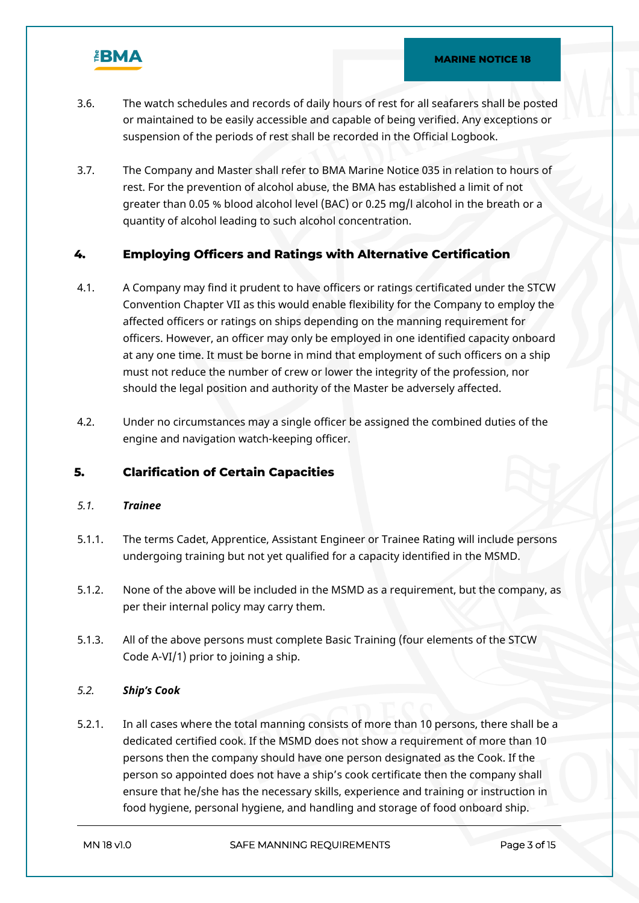

- 3.6. The watch schedules and records of daily hours of rest for all seafarers shall be posted or maintained to be easily accessible and capable of being verified. Any exceptions or suspension of the periods of rest shall be recorded in the Official Logbook.
- 3.7. The Company and Master shall refer to BMA Marine Notice 035 in relation to hours of rest. For the prevention of alcohol abuse, the BMA has established a limit of not greater than 0.05 % blood alcohol level (BAC) or 0.25 mg/l alcohol in the breath or a quantity of alcohol leading to such alcohol concentration.

## **4. Employing Officers and Ratings with Alternative Certification**

- 4.1. A Company may find it prudent to have officers or ratings certificated under the STCW Convention Chapter VII as this would enable flexibility for the Company to employ the affected officers or ratings on ships depending on the manning requirement for officers. However, an officer may only be employed in one identified capacity onboard at any one time. It must be borne in mind that employment of such officers on a ship must not reduce the number of crew or lower the integrity of the profession, nor should the legal position and authority of the Master be adversely affected.
- 4.2. Under no circumstances may a single officer be assigned the combined duties of the engine and navigation watch-keeping officer.

## **5. Clarification of Certain Capacities**

## *5.1. Trainee*

- 5.1.1. The terms Cadet, Apprentice, Assistant Engineer or Trainee Rating will include persons undergoing training but not yet qualified for a capacity identified in the MSMD.
- 5.1.2. None of the above will be included in the MSMD as a requirement, but the company, as per their internal policy may carry them.
- 5.1.3. All of the above persons must complete Basic Training (four elements of the STCW Code A-VI/1) prior to joining a ship.

## *5.2. Ship's Cook*

5.2.1. In all cases where the total manning consists of more than 10 persons, there shall be a dedicated certified cook. If the MSMD does not show a requirement of more than 10 persons then the company should have one person designated as the Cook. If the person so appointed does not have a ship's cook certificate then the company shall ensure that he/she has the necessary skills, experience and training or instruction in food hygiene, personal hygiene, and handling and storage of food onboard ship.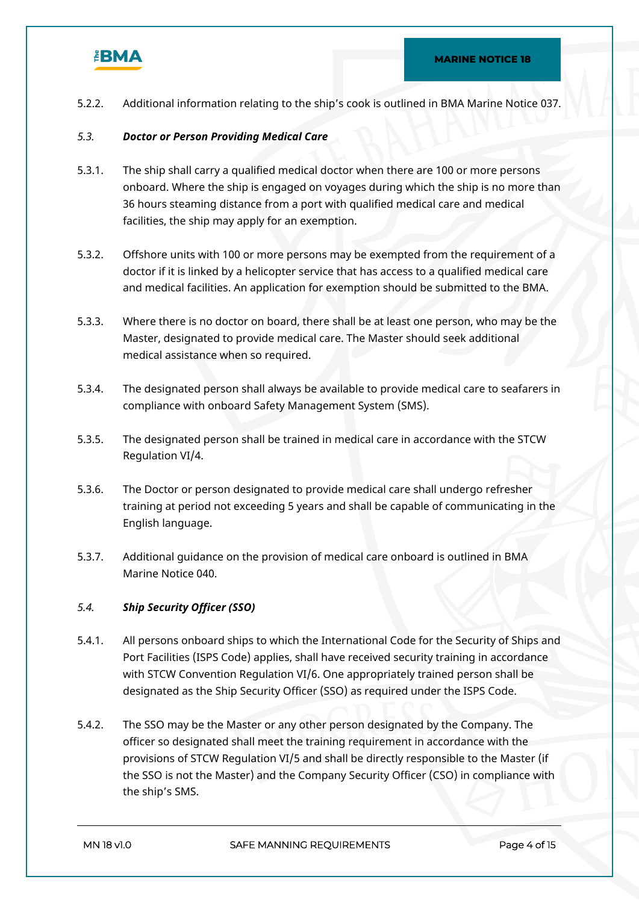

5.2.2. Additional information relating to the ship's cook is outlined in BMA Marine Notice 037.

#### *5.3. Doctor or Person Providing Medical Care*

- 5.3.1. The ship shall carry a qualified medical doctor when there are 100 or more persons onboard. Where the ship is engaged on voyages during which the ship is no more than 36 hours steaming distance from a port with qualified medical care and medical facilities, the ship may apply for an exemption.
- 5.3.2. Offshore units with 100 or more persons may be exempted from the requirement of a doctor if it is linked by a helicopter service that has access to a qualified medical care and medical facilities. An application for exemption should be submitted to the BMA.
- 5.3.3. Where there is no doctor on board, there shall be at least one person, who may be the Master, designated to provide medical care. The Master should seek additional medical assistance when so required.
- 5.3.4. The designated person shall always be available to provide medical care to seafarers in compliance with onboard Safety Management System (SMS).
- 5.3.5. The designated person shall be trained in medical care in accordance with the STCW Regulation VI/4.
- 5.3.6. The Doctor or person designated to provide medical care shall undergo refresher training at period not exceeding 5 years and shall be capable of communicating in the English language.
- 5.3.7. Additional guidance on the provision of medical care onboard is outlined in BMA Marine Notice 040.

#### *5.4. Ship Security Officer (SSO)*

- 5.4.1. All persons onboard ships to which the International Code for the Security of Ships and Port Facilities (ISPS Code) applies, shall have received security training in accordance with STCW Convention Regulation VI/6. One appropriately trained person shall be designated as the Ship Security Officer (SSO) as required under the ISPS Code.
- 5.4.2. The SSO may be the Master or any other person designated by the Company. The officer so designated shall meet the training requirement in accordance with the provisions of STCW Regulation VI/5 and shall be directly responsible to the Master (if the SSO is not the Master) and the Company Security Officer (CSO) in compliance with the ship's SMS.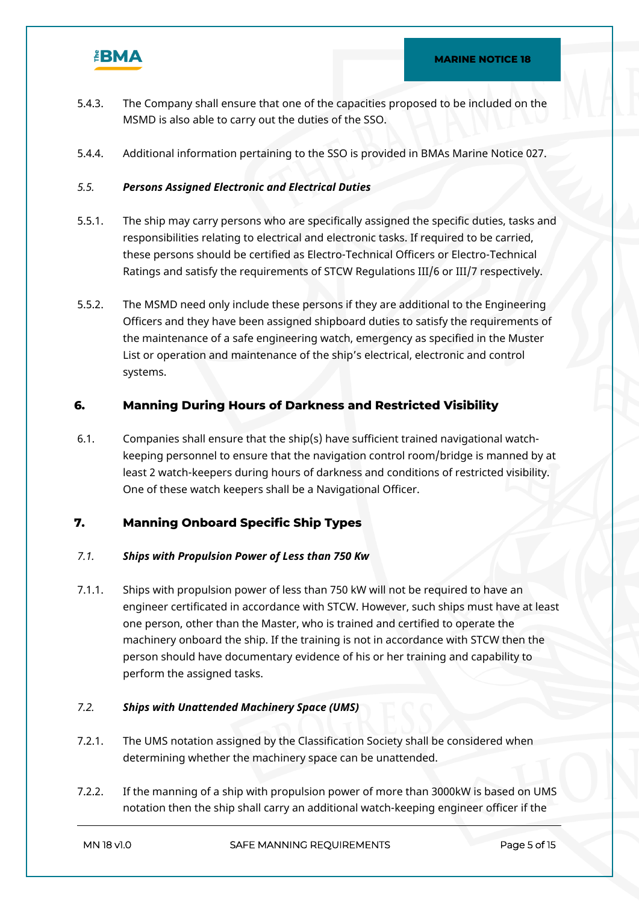

- 5.4.3. The Company shall ensure that one of the capacities proposed to be included on the MSMD is also able to carry out the duties of the SSO.
- 5.4.4. Additional information pertaining to the SSO is provided in BMAs Marine Notice 027.

## *5.5. Persons Assigned Electronic and Electrical Duties*

- 5.5.1. The ship may carry persons who are specifically assigned the specific duties, tasks and responsibilities relating to electrical and electronic tasks. If required to be carried, these persons should be certified as Electro-Technical Officers or Electro-Technical Ratings and satisfy the requirements of STCW Regulations III/6 or III/7 respectively.
- 5.5.2. The MSMD need only include these persons if they are additional to the Engineering Officers and they have been assigned shipboard duties to satisfy the requirements of the maintenance of a safe engineering watch, emergency as specified in the Muster List or operation and maintenance of the ship's electrical, electronic and control systems.

## **6. Manning During Hours of Darkness and Restricted Visibility**

6.1. Companies shall ensure that the ship(s) have sufficient trained navigational watchkeeping personnel to ensure that the navigation control room/bridge is manned by at least 2 watch-keepers during hours of darkness and conditions of restricted visibility. One of these watch keepers shall be a Navigational Officer.

## **7. Manning Onboard Specific Ship Types**

## *7.1. Ships with Propulsion Power of Less than 750 Kw*

7.1.1. Ships with propulsion power of less than 750 kW will not be required to have an engineer certificated in accordance with STCW. However, such ships must have at least one person, other than the Master, who is trained and certified to operate the machinery onboard the ship. If the training is not in accordance with STCW then the person should have documentary evidence of his or her training and capability to perform the assigned tasks.

## *7.2. Ships with Unattended Machinery Space (UMS)*

- 7.2.1. The UMS notation assigned by the Classification Society shall be considered when determining whether the machinery space can be unattended.
- 7.2.2. If the manning of a ship with propulsion power of more than 3000kW is based on UMS notation then the ship shall carry an additional watch-keeping engineer officer if the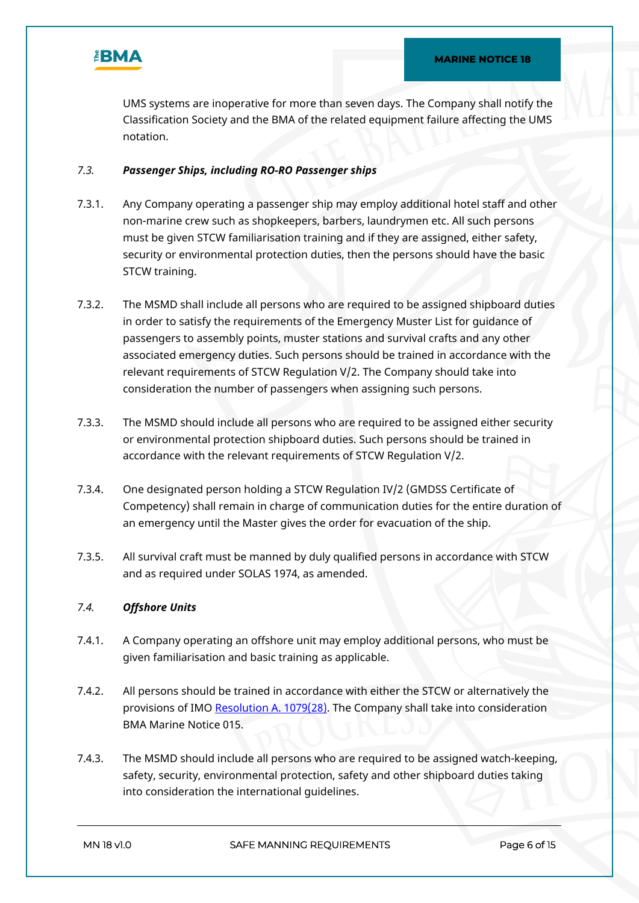

UMS systems are inoperative for more than seven days. The Company shall notify the Classification Society and the BMA of the related equipment failure affecting the UMS notation.

#### *7.3. Passenger Ships, including RO-RO Passenger ships*

- 7.3.1. Any Company operating a passenger ship may employ additional hotel staff and other non-marine crew such as shopkeepers, barbers, laundrymen etc. All such persons must be given STCW familiarisation training and if they are assigned, either safety, security or environmental protection duties, then the persons should have the basic STCW training.
- 7.3.2. The MSMD shall include all persons who are required to be assigned shipboard duties in order to satisfy the requirements of the Emergency Muster List for guidance of passengers to assembly points, muster stations and survival crafts and any other associated emergency duties. Such persons should be trained in accordance with the relevant requirements of STCW Regulation V/2. The Company should take into consideration the number of passengers when assigning such persons.
- 7.3.3. The MSMD should include all persons who are required to be assigned either security or environmental protection shipboard duties. Such persons should be trained in accordance with the relevant requirements of STCW Regulation V/2.
- 7.3.4. One designated person holding a STCW Regulation IV/2 (GMDSS Certificate of Competency) shall remain in charge of communication duties for the entire duration of an emergency until the Master gives the order for evacuation of the ship.
- 7.3.5. All survival craft must be manned by duly qualified persons in accordance with STCW and as required under SOLAS 1974, as amended.

## *7.4. Offshore Units*

- 7.4.1. A Company operating an offshore unit may employ additional persons, who must be given familiarisation and basic training as applicable.
- 7.4.2. All persons should be trained in accordance with either the STCW or alternatively the provisions of IMO [Resolution A. 1079\(28\).](https://mf.bahamasmaritime.net/SharedLinks.aspx?accesskey=52402edd436b4becab70183c4b7506abfa85481392a213c9bf61f38165344a11&VaultGUID=8A7ABFCE-CCD2-49D8-9190-B5F8650E5B38) The Company shall take into consideration BMA Marine Notice 015.
- 7.4.3. The MSMD should include all persons who are required to be assigned watch-keeping, safety, security, environmental protection, safety and other shipboard duties taking into consideration the international guidelines.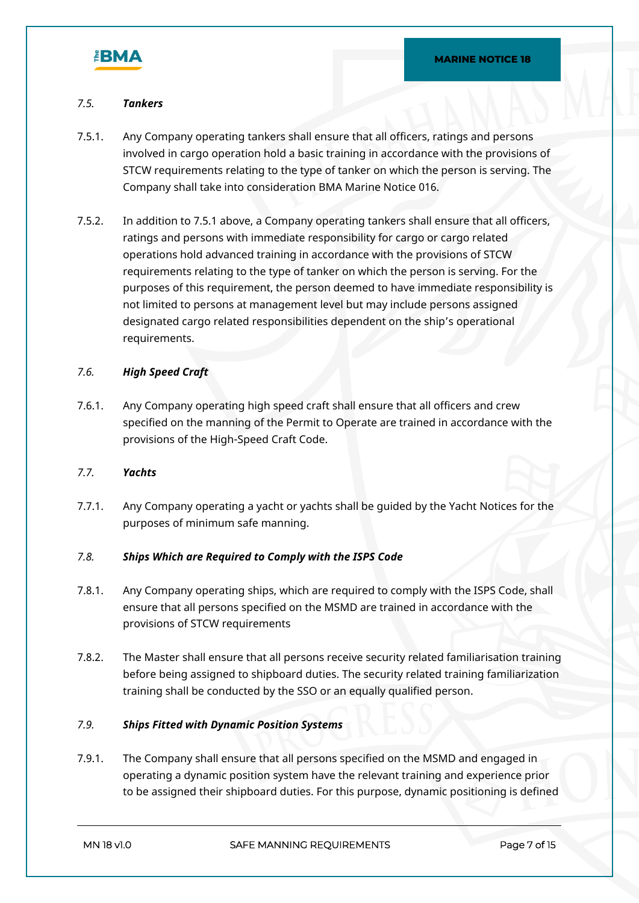

#### *7.5. Tankers*

- 7.5.1. Any Company operating tankers shall ensure that all officers, ratings and persons involved in cargo operation hold a basic training in accordance with the provisions of STCW requirements relating to the type of tanker on which the person is serving. The Company shall take into consideration BMA Marine Notice 016.
- 7.5.2. In addition to 7.5.1 above, a Company operating tankers shall ensure that all officers, ratings and persons with immediate responsibility for cargo or cargo related operations hold advanced training in accordance with the provisions of STCW requirements relating to the type of tanker on which the person is serving. For the purposes of this requirement, the person deemed to have immediate responsibility is not limited to persons at management level but may include persons assigned designated cargo related responsibilities dependent on the ship's operational requirements.

#### *7.6. High Speed Craft*

7.6.1. Any Company operating high speed craft shall ensure that all officers and crew specified on the manning of the Permit to Operate are trained in accordance with the provisions of the High-Speed Craft Code.

#### *7.7. Yachts*

7.7.1. Any Company operating a yacht or yachts shall be guided by the Yacht Notices for the purposes of minimum safe manning.

#### *7.8. Ships Which are Required to Comply with the ISPS Code*

- 7.8.1. Any Company operating ships, which are required to comply with the ISPS Code, shall ensure that all persons specified on the MSMD are trained in accordance with the provisions of STCW requirements
- 7.8.2. The Master shall ensure that all persons receive security related familiarisation training before being assigned to shipboard duties. The security related training familiarization training shall be conducted by the SSO or an equally qualified person.

### *7.9. Ships Fitted with Dynamic Position Systems*

7.9.1. The Company shall ensure that all persons specified on the MSMD and engaged in operating a dynamic position system have the relevant training and experience prior to be assigned their shipboard duties. For this purpose, dynamic positioning is defined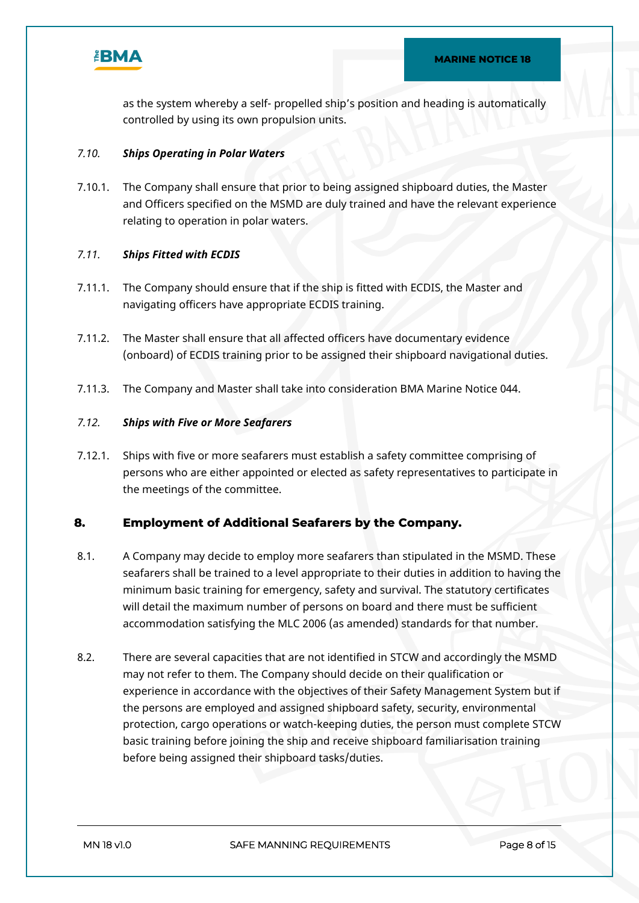

as the system whereby a self- propelled ship's position and heading is automatically controlled by using its own propulsion units.

### *7.10. Ships Operating in Polar Waters*

7.10.1. The Company shall ensure that prior to being assigned shipboard duties, the Master and Officers specified on the MSMD are duly trained and have the relevant experience relating to operation in polar waters.

#### *7.11. Ships Fitted with ECDIS*

- 7.11.1. The Company should ensure that if the ship is fitted with ECDIS, the Master and navigating officers have appropriate ECDIS training.
- 7.11.2. The Master shall ensure that all affected officers have documentary evidence (onboard) of ECDIS training prior to be assigned their shipboard navigational duties.
- 7.11.3. The Company and Master shall take into consideration BMA Marine Notice 044.

#### *7.12. Ships with Five or More Seafarers*

7.12.1. Ships with five or more seafarers must establish a safety committee comprising of persons who are either appointed or elected as safety representatives to participate in the meetings of the committee.

## **8. Employment of Additional Seafarers by the Company.**

- 8.1. A Company may decide to employ more seafarers than stipulated in the MSMD. These seafarers shall be trained to a level appropriate to their duties in addition to having the minimum basic training for emergency, safety and survival. The statutory certificates will detail the maximum number of persons on board and there must be sufficient accommodation satisfying the MLC 2006 (as amended) standards for that number.
- 8.2. There are several capacities that are not identified in STCW and accordingly the MSMD may not refer to them. The Company should decide on their qualification or experience in accordance with the objectives of their Safety Management System but if the persons are employed and assigned shipboard safety, security, environmental protection, cargo operations or watch-keeping duties, the person must complete STCW basic training before joining the ship and receive shipboard familiarisation training before being assigned their shipboard tasks/duties.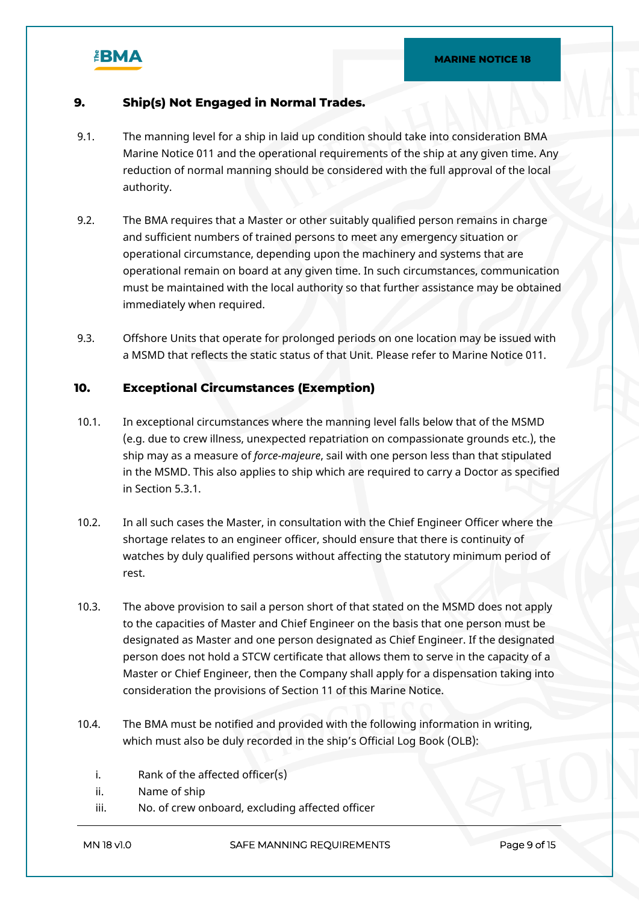

## **9. Ship(s) Not Engaged in Normal Trades.**

- 9.1. The manning level for a ship in laid up condition should take into consideration BMA Marine Notice 011 and the operational requirements of the ship at any given time. Any reduction of normal manning should be considered with the full approval of the local authority.
- 9.2. The BMA requires that a Master or other suitably qualified person remains in charge and sufficient numbers of trained persons to meet any emergency situation or operational circumstance, depending upon the machinery and systems that are operational remain on board at any given time. In such circumstances, communication must be maintained with the local authority so that further assistance may be obtained immediately when required.
- 9.3. Offshore Units that operate for prolonged periods on one location may be issued with a MSMD that reflects the static status of that Unit. Please refer to Marine Notice 011.

## **10. Exceptional Circumstances (Exemption)**

- 10.1. In exceptional circumstances where the manning level falls below that of the MSMD (e.g. due to crew illness, unexpected repatriation on compassionate grounds etc.), the ship may as a measure of *force-majeure*, sail with one person less than that stipulated in the MSMD. This also applies to ship which are required to carry a Doctor as specified in Section 5.3.1.
- 10.2. In all such cases the Master, in consultation with the Chief Engineer Officer where the shortage relates to an engineer officer, should ensure that there is continuity of watches by duly qualified persons without affecting the statutory minimum period of rest.
- 10.3. The above provision to sail a person short of that stated on the MSMD does not apply to the capacities of Master and Chief Engineer on the basis that one person must be designated as Master and one person designated as Chief Engineer. If the designated person does not hold a STCW certificate that allows them to serve in the capacity of a Master or Chief Engineer, then the Company shall apply for a dispensation taking into consideration the provisions of Section 11 of this Marine Notice.
- 10.4. The BMA must be notified and provided with the following information in writing, which must also be duly recorded in the ship's Official Log Book (OLB):
	- i. Rank of the affected officer(s)
	- ii. Name of ship
	- iii. No. of crew onboard, excluding affected officer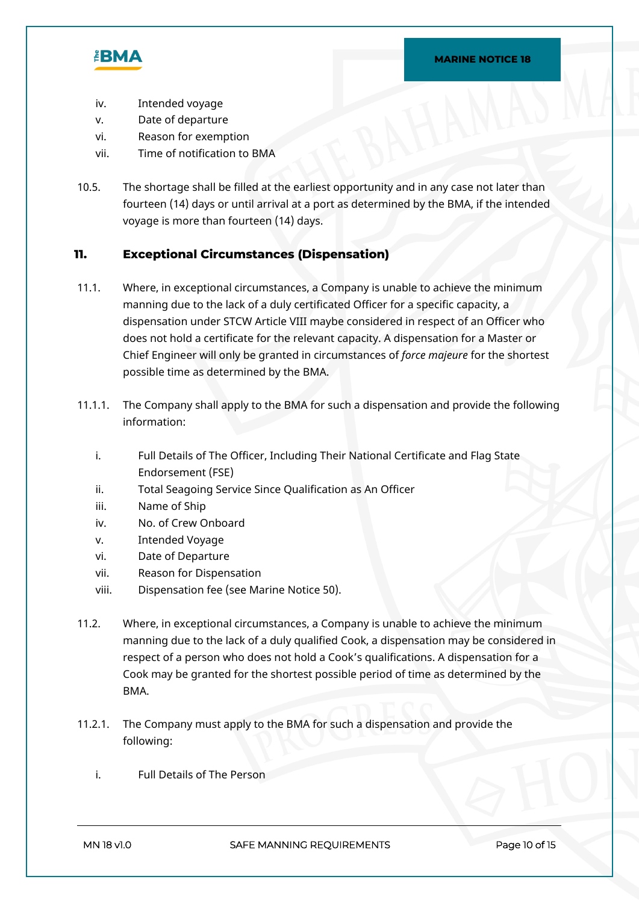

- iv. Intended voyage
- v. Date of departure
- vi. Reason for exemption
- vii. Time of notification to BMA
- 10.5. The shortage shall be filled at the earliest opportunity and in any case not later than fourteen (14) days or until arrival at a port as determined by the BMA, if the intended voyage is more than fourteen (14) days.

## **11. Exceptional Circumstances (Dispensation)**

- 11.1. Where, in exceptional circumstances, a Company is unable to achieve the minimum manning due to the lack of a duly certificated Officer for a specific capacity, a dispensation under STCW Article VIII maybe considered in respect of an Officer who does not hold a certificate for the relevant capacity. A dispensation for a Master or Chief Engineer will only be granted in circumstances of *force majeure* for the shortest possible time as determined by the BMA.
- 11.1.1. The Company shall apply to the BMA for such a dispensation and provide the following information:
	- i. Full Details of The Officer, Including Their National Certificate and Flag State Endorsement (FSE)
	- ii. Total Seagoing Service Since Qualification as An Officer
	- iii. Name of Ship
	- iv. No. of Crew Onboard
	- v. Intended Voyage
	- vi. Date of Departure
	- vii. Reason for Dispensation
	- viii. Dispensation fee (see Marine Notice 50).
- 11.2. Where, in exceptional circumstances, a Company is unable to achieve the minimum manning due to the lack of a duly qualified Cook, a dispensation may be considered in respect of a person who does not hold a Cook's qualifications. A dispensation for a Cook may be granted for the shortest possible period of time as determined by the BMA.
- 11.2.1. The Company must apply to the BMA for such a dispensation and provide the following:
	- i. Full Details of The Person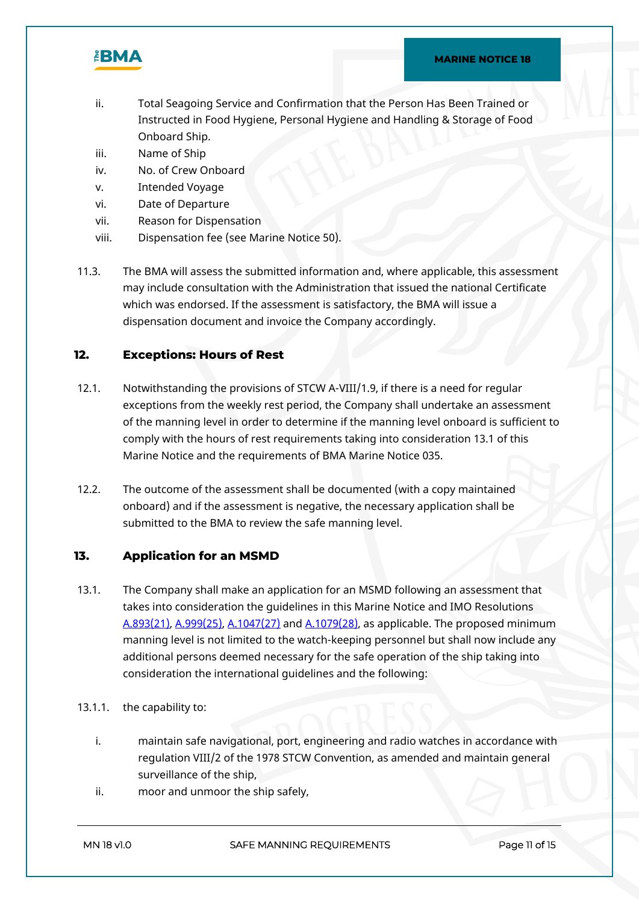

#### **MARINE NOTICE 18**

- ii. Total Seagoing Service and Confirmation that the Person Has Been Trained or Instructed in Food Hygiene, Personal Hygiene and Handling & Storage of Food Onboard Ship.
- iii. Name of Ship
- iv. No. of Crew Onboard
- v. Intended Voyage
- vi. Date of Departure
- vii. Reason for Dispensation
- viii. Dispensation fee (see Marine Notice 50).
- 11.3. The BMA will assess the submitted information and, where applicable, this assessment may include consultation with the Administration that issued the national Certificate which was endorsed. If the assessment is satisfactory, the BMA will issue a dispensation document and invoice the Company accordingly.

## **12. Exceptions: Hours of Rest**

- 12.1. Notwithstanding the provisions of STCW A-VIII/1.9, if there is a need for regular exceptions from the weekly rest period, the Company shall undertake an assessment of the manning level in order to determine if the manning level onboard is sufficient to comply with the hours of rest requirements taking into consideration 13.1 of this Marine Notice and the requirements of BMA Marine Notice 035.
- 12.2. The outcome of the assessment shall be documented (with a copy maintained onboard) and if the assessment is negative, the necessary application shall be submitted to the BMA to review the safe manning level.

## **13. Application for an MSMD**

13.1. The Company shall make an application for an MSMD following an assessment that takes into consideration the guidelines in this Marine Notice and IMO Resolutions [A.893\(21\)](https://mf.bahamasmaritime.net/SharedLinks.aspx?accesskey=40e4c226f7173634ed37a29e065b0092bca76d0bba3500e66f60002c68fda767&VaultGUID=8A7ABFCE-CCD2-49D8-9190-B5F8650E5B38), [A.999\(25\)](https://mf.bahamasmaritime.net/SharedLinks.aspx?accesskey=86f093a272832bb472add38678016da735599fbfd150d24af528be28cafdea37&VaultGUID=8A7ABFCE-CCD2-49D8-9190-B5F8650E5B38), [A.1047\(27\)](https://mf.bahamasmaritime.net/SharedLinks.aspx?accesskey=7c8c4e996aabdc7433656ae6785a08c32f1e4fdb1d57f3efb06ce776ccdf5dd2&VaultGUID=8A7ABFCE-CCD2-49D8-9190-B5F8650E5B38) and [A.1079\(28\),](https://mf.bahamasmaritime.net/SharedLinks.aspx?accesskey=52402edd436b4becab70183c4b7506abfa85481392a213c9bf61f38165344a11&VaultGUID=8A7ABFCE-CCD2-49D8-9190-B5F8650E5B38) as applicable. The proposed minimum manning level is not limited to the watch-keeping personnel but shall now include any additional persons deemed necessary for the safe operation of the ship taking into consideration the international guidelines and the following:

## 13.1.1. the capability to:

- i. maintain safe navigational, port, engineering and radio watches in accordance with regulation VIII/2 of the 1978 STCW Convention, as amended and maintain general surveillance of the ship,
- ii. moor and unmoor the ship safely,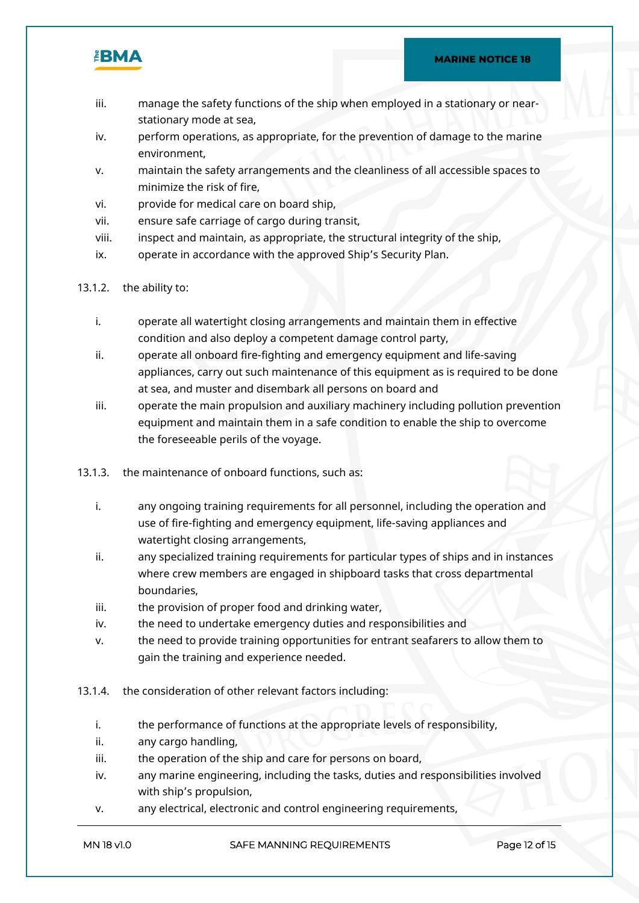

- iii. manage the safety functions of the ship when employed in a stationary or nearstationary mode at sea,
- iv. perform operations, as appropriate, for the prevention of damage to the marine environment,
- v. maintain the safety arrangements and the cleanliness of all accessible spaces to minimize the risk of fire,
- vi. provide for medical care on board ship,
- vii. ensure safe carriage of cargo during transit,
- viii. inspect and maintain, as appropriate, the structural integrity of the ship,
- ix. operate in accordance with the approved Ship's Security Plan.
- 13.1.2. the ability to:
	- i. operate all watertight closing arrangements and maintain them in effective condition and also deploy a competent damage control party,
	- ii. operate all onboard fire-fighting and emergency equipment and life-saving appliances, carry out such maintenance of this equipment as is required to be done at sea, and muster and disembark all persons on board and
	- iii. operate the main propulsion and auxiliary machinery including pollution prevention equipment and maintain them in a safe condition to enable the ship to overcome the foreseeable perils of the voyage.
- 13.1.3. the maintenance of onboard functions, such as:
	- i. any ongoing training requirements for all personnel, including the operation and use of fire-fighting and emergency equipment, life-saving appliances and watertight closing arrangements,
	- ii. any specialized training requirements for particular types of ships and in instances where crew members are engaged in shipboard tasks that cross departmental boundaries,
	- iii. the provision of proper food and drinking water,
	- iv. the need to undertake emergency duties and responsibilities and
	- v. the need to provide training opportunities for entrant seafarers to allow them to gain the training and experience needed.
- 13.1.4. the consideration of other relevant factors including:
	- i. the performance of functions at the appropriate levels of responsibility,
	- ii. any cargo handling,
	- iii. the operation of the ship and care for persons on board,
	- iv. any marine engineering, including the tasks, duties and responsibilities involved with ship's propulsion,
	- v. any electrical, electronic and control engineering requirements,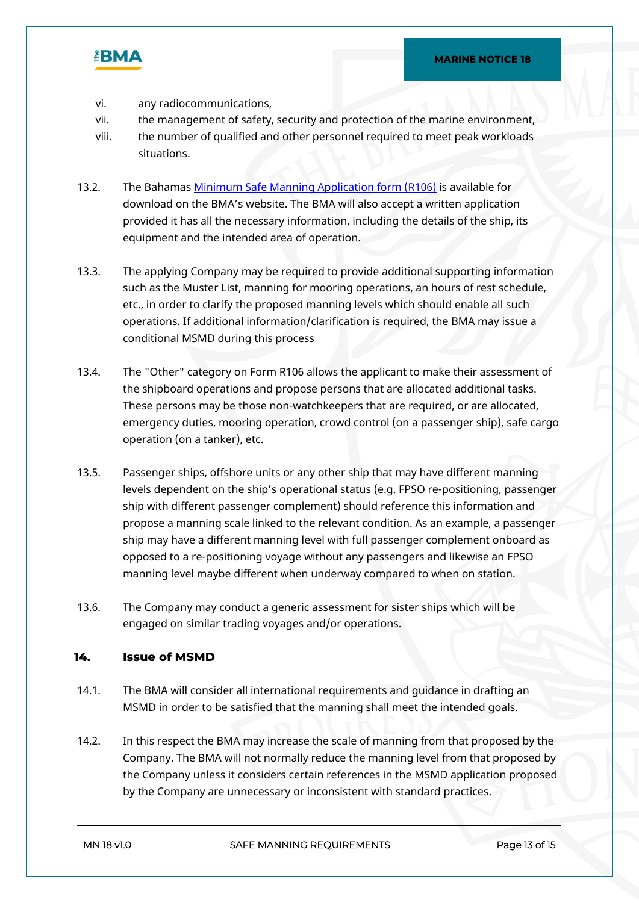

- vi. any radiocommunications,
- vii. the management of safety, security and protection of the marine environment,
- viii. the number of qualified and other personnel required to meet peak workloads situations.
- 13.2. The Bahamas [Minimum Safe Manning Application form \(R106\)](https://www.bahamasmaritime.com/wp-content/uploads/2020/10/Form-R106-Application-for-Minimum-Safe-Manning-Document.pdf) is available for download on the BMA's website. The BMA will also accept a written application provided it has all the necessary information, including the details of the ship, its equipment and the intended area of operation.
- 13.3. The applying Company may be required to provide additional supporting information such as the Muster List, manning for mooring operations, an hours of rest schedule, etc., in order to clarify the proposed manning levels which should enable all such operations. If additional information/clarification is required, the BMA may issue a conditional MSMD during this process
- 13.4. The "Other" category on Form R106 allows the applicant to make their assessment of the shipboard operations and propose persons that are allocated additional tasks. These persons may be those non-watchkeepers that are required, or are allocated, emergency duties, mooring operation, crowd control (on a passenger ship), safe cargo operation (on a tanker), etc.
- 13.5. Passenger ships, offshore units or any other ship that may have different manning levels dependent on the ship's operational status (e.g. FPSO re-positioning, passenger ship with different passenger complement) should reference this information and propose a manning scale linked to the relevant condition. As an example, a passenger ship may have a different manning level with full passenger complement onboard as opposed to a re-positioning voyage without any passengers and likewise an FPSO manning level maybe different when underway compared to when on station.
- 13.6. The Company may conduct a generic assessment for sister ships which will be engaged on similar trading voyages and/or operations.

## **14. Issue of MSMD**

- 14.1. The BMA will consider all international requirements and guidance in drafting an MSMD in order to be satisfied that the manning shall meet the intended goals.
- 14.2. In this respect the BMA may increase the scale of manning from that proposed by the Company. The BMA will not normally reduce the manning level from that proposed by the Company unless it considers certain references in the MSMD application proposed by the Company are unnecessary or inconsistent with standard practices.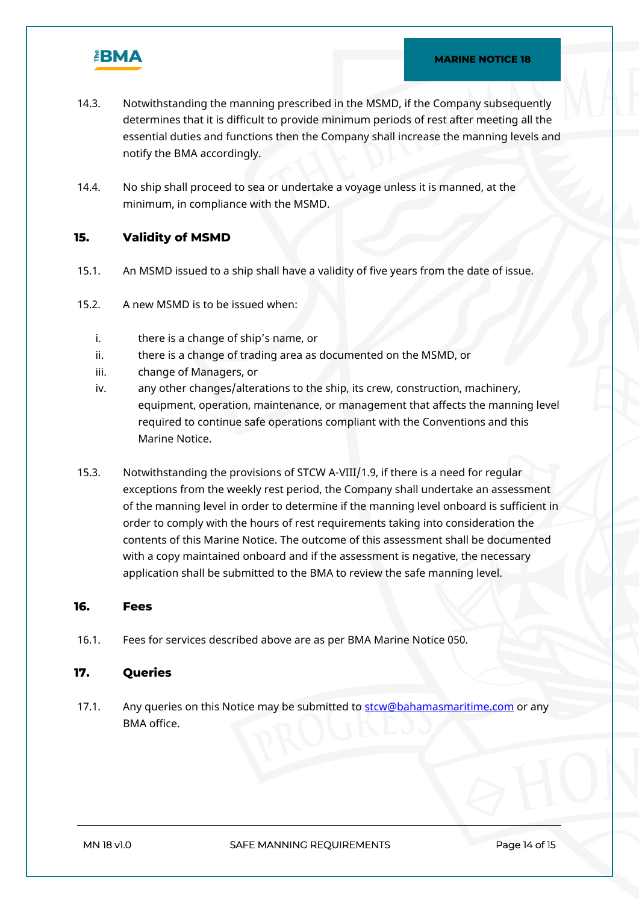

- 14.3. Notwithstanding the manning prescribed in the MSMD, if the Company subsequently determines that it is difficult to provide minimum periods of rest after meeting all the essential duties and functions then the Company shall increase the manning levels and notify the BMA accordingly.
- 14.4. No ship shall proceed to sea or undertake a voyage unless it is manned, at the minimum, in compliance with the MSMD.

## **15. Validity of MSMD**

- 15.1. An MSMD issued to a ship shall have a validity of five years from the date of issue.
- 15.2. A new MSMD is to be issued when:
	- i. there is a change of ship's name, or
	- ii. there is a change of trading area as documented on the MSMD, or
	- iii. change of Managers, or
	- iv. any other changes/alterations to the ship, its crew, construction, machinery, equipment, operation, maintenance, or management that affects the manning level required to continue safe operations compliant with the Conventions and this Marine Notice.
- 15.3. Notwithstanding the provisions of STCW A-VIII/1.9, if there is a need for regular exceptions from the weekly rest period, the Company shall undertake an assessment of the manning level in order to determine if the manning level onboard is sufficient in order to comply with the hours of rest requirements taking into consideration the contents of this Marine Notice. The outcome of this assessment shall be documented with a copy maintained onboard and if the assessment is negative, the necessary application shall be submitted to the BMA to review the safe manning level.

#### **16. Fees**

16.1. Fees for services described above are as per BMA Marine Notice 050.

## **17. Queries**

17.1. Any queries on this Notice may be submitted to **[stcw@bahamasmaritime.com](mailto:stcw@bahamasmaritime.com)** or any BMA office.